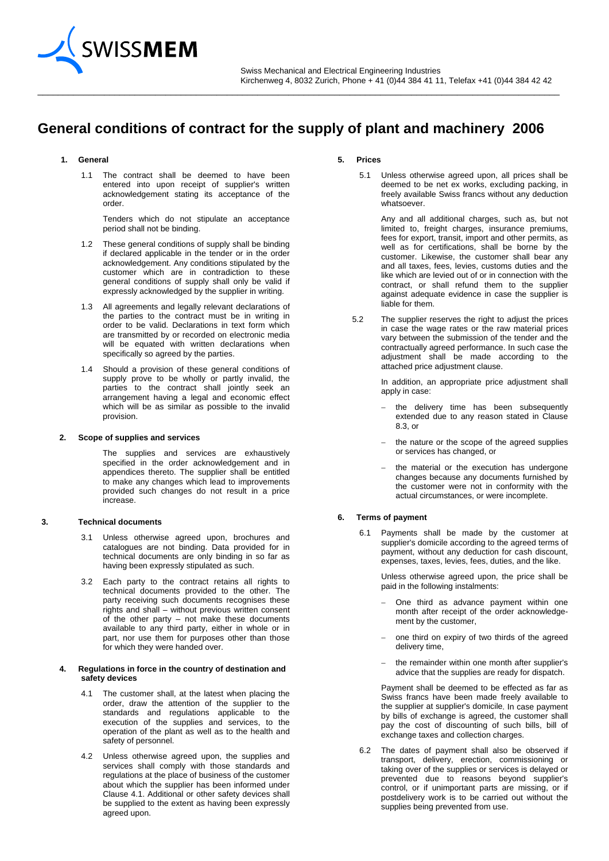

# **General conditions of contract for the supply of plant and machinery 2006**

\_\_\_\_\_\_\_\_\_\_\_\_\_\_\_\_\_\_\_\_\_\_\_\_\_\_\_\_\_\_\_\_\_\_\_\_\_\_\_\_\_\_\_\_\_\_\_\_\_\_\_\_\_\_\_\_\_\_\_\_\_\_\_\_\_\_\_\_\_\_\_\_\_\_\_\_\_\_\_\_\_\_\_\_\_\_\_\_\_\_\_\_\_\_\_\_\_\_\_\_\_\_

# **1. General**

1.1 The contract shall be deemed to have been entered into upon receipt of supplier's written acknowledgement stating its acceptance of the order.

Tenders which do not stipulate an acceptance period shall not be binding.

- 1.2 These general conditions of supply shall be binding if declared applicable in the tender or in the order acknowledgement. Any conditions stipulated by the customer which are in contradiction to these general conditions of supply shall only be valid if expressly acknowledged by the supplier in writing.
- 1.3 All agreements and legally relevant declarations of the parties to the contract must be in writing in order to be valid. Declarations in text form which are transmitted by or recorded on electronic media will be equated with written declarations when specifically so agreed by the parties.
- 1.4 Should a provision of these general conditions of supply prove to be wholly or partly invalid, the parties to the contract shall jointly seek an arrangement having a legal and economic effect which will be as similar as possible to the invalid provision.

#### **2. Scope of supplies and services**

The supplies and services are exhaustively specified in the order acknowledgement and in appendices thereto. The supplier shall be entitled to make any changes which lead to improvements provided such changes do not result in a price increase.

# **3. Technical documents**

- 3.1 Unless otherwise agreed upon, brochures and catalogues are not binding. Data provided for in technical documents are only binding in so far as having been expressly stipulated as such.
- 3.2 Each party to the contract retains all rights to technical documents provided to the other. The party receiving such documents recognises these rights and shall – without previous written consent of the other party – not make these documents available to any third party, either in whole or in part, nor use them for purposes other than those for which they were handed over.

#### **4. Regulations in force in the country of destination and safety devices**

- 4.1 The customer shall, at the latest when placing the order, draw the attention of the supplier to the standards and regulations applicable to the execution of the supplies and services, to the operation of the plant as well as to the health and safety of personnel.
- 4.2 Unless otherwise agreed upon, the supplies and services shall comply with those standards and regulations at the place of business of the customer about which the supplier has been informed under Clause 4.1. Additional or other safety devices shall be supplied to the extent as having been expressly agreed upon.

# **5. Prices**

5.1 Unless otherwise agreed upon, all prices shall be deemed to be net ex works, excluding packing, in freely available Swiss francs without any deduction whatsoever.

Any and all additional charges, such as, but not limited to, freight charges, insurance premiums, fees for export, transit, import and other permits, as well as for certifications, shall be borne by the customer. Likewise, the customer shall bear any and all taxes, fees, levies, customs duties and the like which are levied out of or in connection with the contract, or shall refund them to the supplier against adequate evidence in case the supplier is liable for them.

5.2 The supplier reserves the right to adjust the prices in case the wage rates or the raw material prices vary between the submission of the tender and the contractually agreed performance. In such case the adjustment shall be made according to the attached price adjustment clause.

> In addition, an appropriate price adjustment shall apply in case:

- the delivery time has been subsequently extended due to any reason stated in Clause 8.3, or
- the nature or the scope of the agreed supplies or services has changed, or
- the material or the execution has undergone changes because any documents furnished by the customer were not in conformity with the actual circumstances, or were incomplete.

#### **6. Terms of payment**

6.1 Payments shall be made by the customer at supplier's domicile according to the agreed terms of payment, without any deduction for cash discount, expenses, taxes, levies, fees, duties, and the like.

> Unless otherwise agreed upon, the price shall be paid in the following instalments:

- One third as advance payment within one month after receipt of the order acknowledgement by the customer,
- one third on expiry of two thirds of the agreed delivery time,
- the remainder within one month after supplier's advice that the supplies are ready for dispatch.

Payment shall be deemed to be effected as far as Swiss francs have been made freely available to the supplier at supplier's domicile. In case payment by bills of exchange is agreed, the customer shall pay the cost of discounting of such bills, bill of exchange taxes and collection charges.

6.2 The dates of payment shall also be observed if transport, delivery, erection, commissioning or taking over of the supplies or services is delayed or prevented due to reasons beyond supplier's control, or if unimportant parts are missing, or if postdelivery work is to be carried out without the supplies being prevented from use.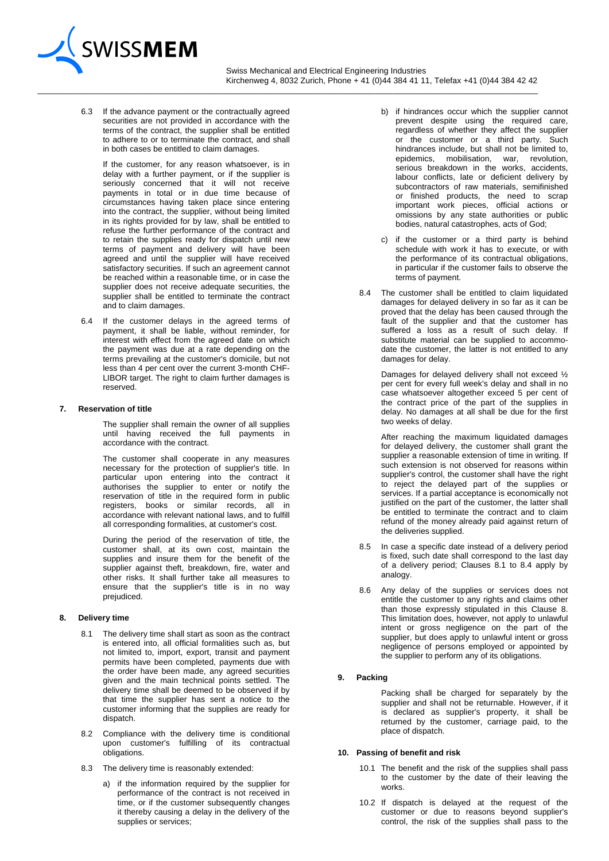

 Swiss Mechanical and Electrical Engineering Industries Kirchenweg 4, 8032 Zurich, Phone + 41 (0)44 384 41 11, Telefax +41 (0)44 384 42 42  $\_$  ,  $\_$  ,  $\_$  ,  $\_$  ,  $\_$  ,  $\_$  ,  $\_$  ,  $\_$  ,  $\_$  ,  $\_$  ,  $\_$  ,  $\_$  ,  $\_$  ,  $\_$  ,  $\_$  ,  $\_$  ,  $\_$  ,  $\_$  ,  $\_$  ,  $\_$  ,  $\_$  ,  $\_$  ,  $\_$  ,  $\_$  ,  $\_$  ,  $\_$  ,  $\_$  ,  $\_$  ,  $\_$  ,  $\_$  ,  $\_$  ,  $\_$  ,  $\_$  ,  $\_$  ,  $\_$  ,  $\_$  ,  $\_$  ,

6.3 If the advance payment or the contractually agreed securities are not provided in accordance with the terms of the contract, the supplier shall be entitled to adhere to or to terminate the contract, and shall in both cases be entitled to claim damages.

If the customer, for any reason whatsoever, is in delay with a further payment, or if the supplier is seriously concerned that it will not receive payments in total or in due time because of circumstances having taken place since entering into the contract, the supplier, without being limited in its rights provided for by law, shall be entitled to refuse the further performance of the contract and to retain the supplies ready for dispatch until new terms of payment and delivery will have been agreed and until the supplier will have received satisfactory securities. If such an agreement cannot be reached within a reasonable time, or in case the supplier does not receive adequate securities, the supplier shall be entitled to terminate the contract and to claim damages.

6.4 If the customer delays in the agreed terms of payment, it shall be liable, without reminder, for interest with effect from the agreed date on which the payment was due at a rate depending on the terms prevailing at the customer's domicile, but not less than 4 per cent over the current 3-month CHF-LIBOR target. The right to claim further damages is reserved.

#### **7. Reservation of title**

The supplier shall remain the owner of all supplies until having received the full payments in accordance with the contract.

The customer shall cooperate in any measures necessary for the protection of supplier's title. In particular upon entering into the contract it authorises the supplier to enter or notify the reservation of title in the required form in public registers, books or similar records, all in accordance with relevant national laws, and to fulfill all corresponding formalities, at customer's cost.

During the period of the reservation of title, the customer shall, at its own cost, maintain the supplies and insure them for the benefit of the supplier against theft, breakdown, fire, water and other risks. It shall further take all measures to ensure that the supplier's title is in no way prejudiced.

#### **8. Delivery time**

- 8.1 The delivery time shall start as soon as the contract is entered into, all official formalities such as, but not limited to, import, export, transit and payment permits have been completed, payments due with the order have been made, any agreed securities given and the main technical points settled. The delivery time shall be deemed to be observed if by that time the supplier has sent a notice to the customer informing that the supplies are ready for dispatch.
- 8.2 Compliance with the delivery time is conditional upon customer's fulfilling of its contractual obligations.
- 8.3 The delivery time is reasonably extended:
	- a) if the information required by the supplier for performance of the contract is not received in time, or if the customer subsequently changes it thereby causing a delay in the delivery of the supplies or services;
- b) if hindrances occur which the supplier cannot prevent despite using the required care, regardless of whether they affect the supplier or the customer or a third party. Such hindrances include, but shall not be limited to, epidemics, mobilisation, war, revolution, serious breakdown in the works, accidents, labour conflicts, late or deficient delivery by subcontractors of raw materials, semifinished or finished products, the need to scrap important work pieces, official actions or omissions by any state authorities or public bodies, natural catastrophes, acts of God;
- c) if the customer or a third party is behind schedule with work it has to execute, or with the performance of its contractual obligations, in particular if the customer fails to observe the terms of payment.
- 8.4 The customer shall be entitled to claim liquidated damages for delayed delivery in so far as it can be proved that the delay has been caused through the fault of the supplier and that the customer has suffered a loss as a result of such delay. If substitute material can be supplied to accommodate the customer, the latter is not entitled to any damages for delay.

Damages for delayed delivery shall not exceed ½ per cent for every full week's delay and shall in no case whatsoever altogether exceed 5 per cent of the contract price of the part of the supplies in delay. No damages at all shall be due for the first two weeks of delay.

After reaching the maximum liquidated damages for delayed delivery, the customer shall grant the supplier a reasonable extension of time in writing. If such extension is not observed for reasons within supplier's control, the customer shall have the right to reject the delayed part of the supplies or services. If a partial acceptance is economically not justified on the part of the customer, the latter shall be entitled to terminate the contract and to claim refund of the money already paid against return of the deliveries supplied.

- 8.5 In case a specific date instead of a delivery period is fixed, such date shall correspond to the last day of a delivery period; Clauses 8.1 to 8.4 apply by analogy.
- 8.6 Any delay of the supplies or services does not entitle the customer to any rights and claims other than those expressly stipulated in this Clause 8. This limitation does, however, not apply to unlawful intent or gross negligence on the part of the supplier, but does apply to unlawful intent or gross negligence of persons employed or appointed by the supplier to perform any of its obligations.

# **9. Packing**

Packing shall be charged for separately by the supplier and shall not be returnable. However, if it is declared as supplier's property, it shall be returned by the customer, carriage paid, to the place of dispatch.

#### **10. Passing of benefit and risk**

- 10.1 The benefit and the risk of the supplies shall pass to the customer by the date of their leaving the works.
- 10.2 If dispatch is delayed at the request of the customer or due to reasons beyond supplier's control, the risk of the supplies shall pass to the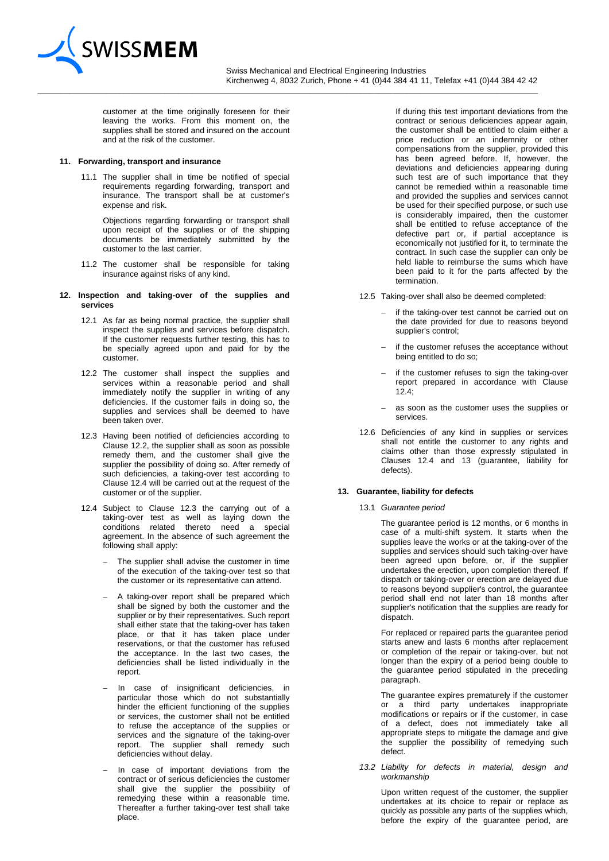

 Swiss Mechanical and Electrical Engineering Industries Kirchenweg 4, 8032 Zurich, Phone + 41 (0)44 384 41 11, Telefax +41 (0)44 384 42 42

 $\_$  ,  $\_$  ,  $\_$  ,  $\_$  ,  $\_$  ,  $\_$  ,  $\_$  ,  $\_$  ,  $\_$  ,  $\_$  ,  $\_$  ,  $\_$  ,  $\_$  ,  $\_$  ,  $\_$  ,  $\_$  ,  $\_$  ,  $\_$  ,  $\_$  ,  $\_$  ,  $\_$  ,  $\_$  ,  $\_$  ,  $\_$  ,  $\_$  ,  $\_$  ,  $\_$  ,  $\_$  ,  $\_$  ,  $\_$  ,  $\_$  ,  $\_$  ,  $\_$  ,  $\_$  ,  $\_$  ,  $\_$  ,  $\_$  ,

customer at the time originally foreseen for their leaving the works. From this moment on, the supplies shall be stored and insured on the account and at the risk of the customer.

#### **11. Forwarding, transport and insurance**

11.1 The supplier shall in time be notified of special requirements regarding forwarding, transport and insurance. The transport shall be at customer's expense and risk.

Objections regarding forwarding or transport shall upon receipt of the supplies or of the shipping documents be immediately submitted by the customer to the last carrier.

11.2 The customer shall be responsible for taking insurance against risks of any kind.

#### **12. Inspection and taking-over of the supplies and services**

- 12.1 As far as being normal practice, the supplier shall inspect the supplies and services before dispatch. If the customer requests further testing, this has to be specially agreed upon and paid for by the customer.
- 12.2 The customer shall inspect the supplies and services within a reasonable period and shall immediately notify the supplier in writing of any deficiencies. If the customer fails in doing so, the supplies and services shall be deemed to have been taken over.
- 12.3 Having been notified of deficiencies according to Clause 12.2, the supplier shall as soon as possible remedy them, and the customer shall give the supplier the possibility of doing so. After remedy of such deficiencies, a taking-over test according to Clause 12.4 will be carried out at the request of the customer or of the supplier.
- 12.4 Subject to Clause 12.3 the carrying out of a taking-over test as well as laying down the conditions related thereto need a special agreement. In the absence of such agreement the following shall apply:
	- The supplier shall advise the customer in time of the execution of the taking-over test so that the customer or its representative can attend.
	- A taking-over report shall be prepared which shall be signed by both the customer and the supplier or by their representatives. Such report shall either state that the taking-over has taken place, or that it has taken place under reservations, or that the customer has refused the acceptance. In the last two cases, the deficiencies shall be listed individually in the report.
	- In case of insignificant deficiencies, in particular those which do not substantially hinder the efficient functioning of the supplies or services, the customer shall not be entitled to refuse the acceptance of the supplies or services and the signature of the taking-over report. The supplier shall remedy such deficiencies without delay.
	- In case of important deviations from the contract or of serious deficiencies the customer shall give the supplier the possibility of remedying these within a reasonable time. Thereafter a further taking-over test shall take place.

If during this test important deviations from the contract or serious deficiencies appear again, the customer shall be entitled to claim either a price reduction or an indemnity or other compensations from the supplier, provided this has been agreed before. If, however, the deviations and deficiencies appearing during such test are of such importance that they cannot be remedied within a reasonable time and provided the supplies and services cannot be used for their specified purpose, or such use is considerably impaired, then the customer shall be entitled to refuse acceptance of the defective part or, if partial acceptance is economically not justified for it, to terminate the contract. In such case the supplier can only be held liable to reimburse the sums which have been paid to it for the parts affected by the termination.

- 12.5 Taking-over shall also be deemed completed:
	- if the taking-over test cannot be carried out on the date provided for due to reasons beyond supplier's control;
	- if the customer refuses the acceptance without being entitled to do so;
	- if the customer refuses to sign the taking-over report prepared in accordance with Clause  $12.4$
	- as soon as the customer uses the supplies or services.
- 12.6 Deficiencies of any kind in supplies or services shall not entitle the customer to any rights and claims other than those expressly stipulated in Clauses 12.4 and 13 (guarantee, liability for defects).

# **13. Guarantee, liability for defects**

13.1 *Guarantee period*

The guarantee period is 12 months, or 6 months in case of a multi-shift system. It starts when the supplies leave the works or at the taking-over of the supplies and services should such taking-over have been agreed upon before, or, if the supplier undertakes the erection, upon completion thereof. If dispatch or taking-over or erection are delayed due to reasons beyond supplier's control, the guarantee period shall end not later than 18 months after supplier's notification that the supplies are ready for dispatch.

For replaced or repaired parts the guarantee period starts anew and lasts 6 months after replacement or completion of the repair or taking-over, but not longer than the expiry of a period being double to the guarantee period stipulated in the preceding paragraph.

The guarantee expires prematurely if the customer or a third party undertakes inappropriate modifications or repairs or if the customer, in case of a defect, does not immediately take all appropriate steps to mitigate the damage and give the supplier the possibility of remedying such defect.

*13.2 Liability for defects in material, design and workmanship* 

> Upon written request of the customer, the supplier undertakes at its choice to repair or replace as quickly as possible any parts of the supplies which, before the expiry of the guarantee period, are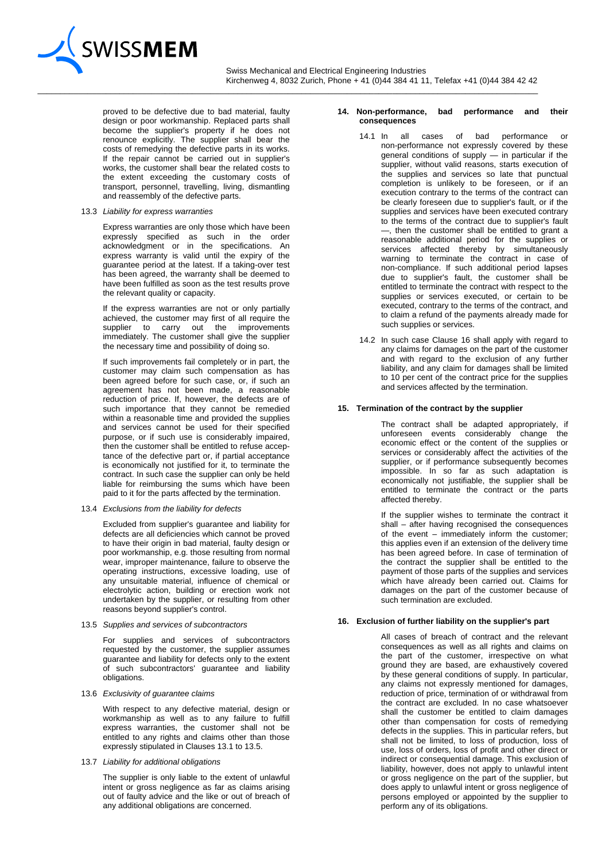

 $\_$  ,  $\_$  ,  $\_$  ,  $\_$  ,  $\_$  ,  $\_$  ,  $\_$  ,  $\_$  ,  $\_$  ,  $\_$  ,  $\_$  ,  $\_$  ,  $\_$  ,  $\_$  ,  $\_$  ,  $\_$  ,  $\_$  ,  $\_$  ,  $\_$  ,  $\_$  ,  $\_$  ,  $\_$  ,  $\_$  ,  $\_$  ,  $\_$  ,  $\_$  ,  $\_$  ,  $\_$  ,  $\_$  ,  $\_$  ,  $\_$  ,  $\_$  ,  $\_$  ,  $\_$  ,  $\_$  ,  $\_$  ,  $\_$  ,

proved to be defective due to bad material, faulty design or poor workmanship. Replaced parts shall become the supplier's property if he does not renounce explicitly. The supplier shall bear the costs of remedying the defective parts in its works. If the repair cannot be carried out in supplier's works, the customer shall bear the related costs to the extent exceeding the customary costs of transport, personnel, travelling, living, dismantling and reassembly of the defective parts.

#### 13.3 *Liability for express warranties*

Express warranties are only those which have been expressly specified as such in the order acknowledgment or in the specifications. An express warranty is valid until the expiry of the guarantee period at the latest. If a taking-over test has been agreed, the warranty shall be deemed to have been fulfilled as soon as the test results prove the relevant quality or capacity.

If the express warranties are not or only partially achieved, the customer may first of all require the supplier to carry out the improvements immediately. The customer shall give the supplier the necessary time and possibility of doing so.

If such improvements fail completely or in part, the customer may claim such compensation as has been agreed before for such case, or, if such an agreement has not been made, a reasonable reduction of price. If, however, the defects are of such importance that they cannot be remedied within a reasonable time and provided the supplies and services cannot be used for their specified purpose, or if such use is considerably impaired, then the customer shall be entitled to refuse acceptance of the defective part or, if partial acceptance is economically not justified for it, to terminate the contract. In such case the supplier can only be held liable for reimbursing the sums which have been paid to it for the parts affected by the termination.

13.4 *Exclusions from the liability for defects*

Excluded from supplier's guarantee and liability for defects are all deficiencies which cannot be proved to have their origin in bad material, faulty design or poor workmanship, e.g. those resulting from normal wear, improper maintenance, failure to observe the operating instructions, excessive loading, use of any unsuitable material, influence of chemical or electrolytic action, building or erection work not undertaken by the supplier, or resulting from other reasons beyond supplier's control.

13.5 *Supplies and services of subcontractors*

For supplies and services of subcontractors requested by the customer, the supplier assumes guarantee and liability for defects only to the extent of such subcontractors' guarantee and liability obligations.

13.6 *Exclusivity of guarantee claims*

With respect to any defective material, design or workmanship as well as to any failure to fulfill express warranties, the customer shall not be entitled to any rights and claims other than those expressly stipulated in Clauses 13.1 to 13.5.

13.7 *Liability for additional obligations*

The supplier is only liable to the extent of unlawful intent or gross negligence as far as claims arising out of faulty advice and the like or out of breach of any additional obligations are concerned.

#### **14. Non-performance, bad performance and their consequences**

- 14.1 In all cases of bad performance or non-performance not expressly covered by these general conditions of supply — in particular if the supplier, without valid reasons, starts execution of the supplies and services so late that punctual completion is unlikely to be foreseen, or if an execution contrary to the terms of the contract can be clearly foreseen due to supplier's fault, or if the supplies and services have been executed contrary to the terms of the contract due to supplier's fault —, then the customer shall be entitled to grant a reasonable additional period for the supplies or services affected thereby by simultaneously warning to terminate the contract in case of non-compliance. If such additional period lapses due to supplier's fault, the customer shall be entitled to terminate the contract with respect to the supplies or services executed, or certain to be executed, contrary to the terms of the contract, and to claim a refund of the payments already made for such supplies or services.
- 14.2 In such case Clause 16 shall apply with regard to any claims for damages on the part of the customer and with regard to the exclusion of any further liability, and any claim for damages shall be limited to 10 per cent of the contract price for the supplies and services affected by the termination.

#### **15. Termination of the contract by the supplier**

The contract shall be adapted appropriately, if unforeseen events considerably change the economic effect or the content of the supplies or services or considerably affect the activities of the supplier, or if performance subsequently becomes impossible. In so far as such adaptation is economically not justifiable, the supplier shall be entitled to terminate the contract or the parts affected thereby.

If the supplier wishes to terminate the contract it shall – after having recognised the consequences of the event – immediately inform the customer; this applies even if an extension of the delivery time has been agreed before. In case of termination of the contract the supplier shall be entitled to the payment of those parts of the supplies and services which have already been carried out. Claims for damages on the part of the customer because of such termination are excluded.

# **16. Exclusion of further liability on the supplier's part**

All cases of breach of contract and the relevant consequences as well as all rights and claims on the part of the customer, irrespective on what ground they are based, are exhaustively covered by these general conditions of supply. In particular, any claims not expressly mentioned for damages, reduction of price, termination of or withdrawal from the contract are excluded. In no case whatsoever shall the customer be entitled to claim damages other than compensation for costs of remedying defects in the supplies. This in particular refers, but shall not be limited, to loss of production, loss of use, loss of orders, loss of profit and other direct or indirect or consequential damage. This exclusion of liability, however, does not apply to unlawful intent or gross negligence on the part of the supplier, but does apply to unlawful intent or gross negligence of persons employed or appointed by the supplier to perform any of its obligations.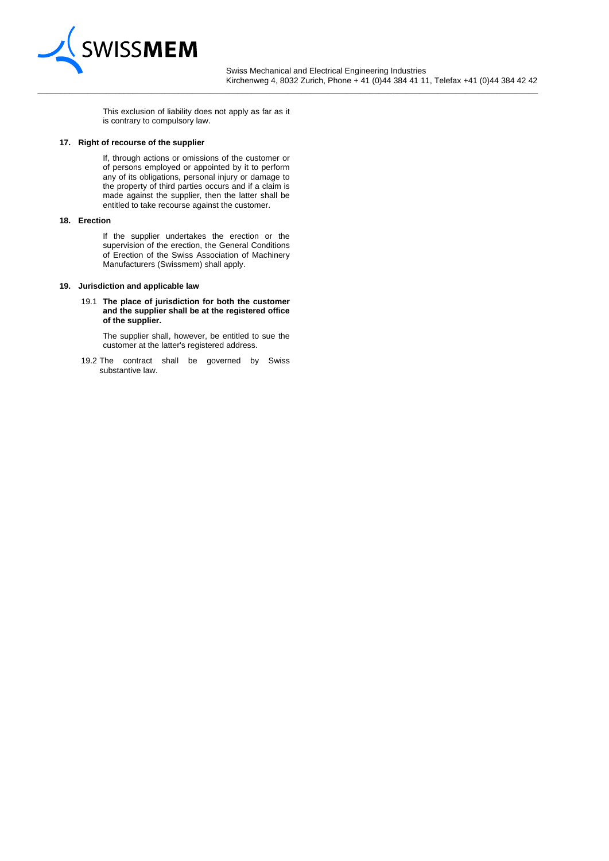

 Swiss Mechanical and Electrical Engineering Industries Kirchenweg 4, 8032 Zurich, Phone + 41 (0)44 384 41 11, Telefax +41 (0)44 384 42 42

This exclusion of liability does not apply as far as it is contrary to compulsory law.

 $\_$  ,  $\_$  ,  $\_$  ,  $\_$  ,  $\_$  ,  $\_$  ,  $\_$  ,  $\_$  ,  $\_$  ,  $\_$  ,  $\_$  ,  $\_$  ,  $\_$  ,  $\_$  ,  $\_$  ,  $\_$  ,  $\_$  ,  $\_$  ,  $\_$  ,  $\_$  ,  $\_$  ,  $\_$  ,  $\_$  ,  $\_$  ,  $\_$  ,  $\_$  ,  $\_$  ,  $\_$  ,  $\_$  ,  $\_$  ,  $\_$  ,  $\_$  ,  $\_$  ,  $\_$  ,  $\_$  ,  $\_$  ,  $\_$  ,

#### **17. Right of recourse of the supplier**

If, through actions or omissions of the customer or of persons employed or appointed by it to perform any of its obligations, personal injury or damage to the property of third parties occurs and if a claim is made against the supplier, then the latter shall be entitled to take recourse against the customer.

# **18. Erection**

If the supplier undertakes the erection or the supervision of the erection, the General Conditions of Erection of the Swiss Association of Machinery Manufacturers (Swissmem) shall apply.

#### **19. Jurisdiction and applicable law**

19.1 **The place of jurisdiction for both the customer and the supplier shall be at the registered office of the supplier.**

The supplier shall, however, be entitled to sue the customer at the latter's registered address.

19.2 The contract shall be governed by Swiss substantive law.